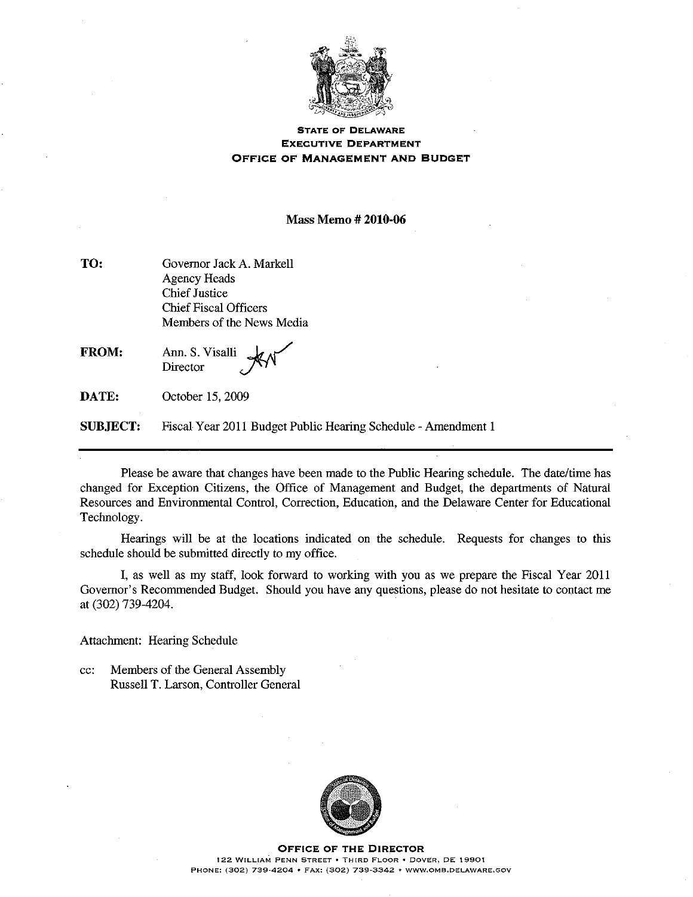

## **STATE OF DELAWARE EXECUTIVE DEPARTMENT** OFFICE OF MANAGEMENT AND BUDGET

**Mass Memo #2010-06** 

| Governor Jack A. Markell     |
|------------------------------|
| Agency Heads                 |
| <b>Chief Justice</b>         |
| <b>Chief Fiscal Officers</b> |
| Members of the News Media    |
|                              |

FROM: Ann. S. Visalli Director

DATE: October 15, 2009

**SUBJECT:** Fiscal Year 2011 Budget Public Hearing Schedule - Amendment 1

Please be aware that changes have been made to the Public Hearing schedule. The date/time has changed for Exception Citizens, the Office of Management and Budget, the departments of Natural Resources and Environmental Control, Correction, Education, and the Delaware Center for Educational Technology.

Hearings will be at the locations indicated on the schedule. Requests for changes to this schedule should be submitted directly to my office.

I, as well as my staff, look forward to working with you as we prepare the Fiscal Year 2011 Governor's Recommended Budget. Should you have any questions, please do not hesitate to contact me at (302) 739-4204.

Attachment: Hearing Schedule

Members of the General Assembly cc: Russell T. Larson, Controller General



**OFFICE OF THE DIRECTOR** 122 WILLIAM PENN STREET . THIRD FLOOR . DOVER, DE 19901 PHONE: (302) 739-4204 · FAX: (302) 739-3342 · WWW.OMB.DELAWARE.GOV